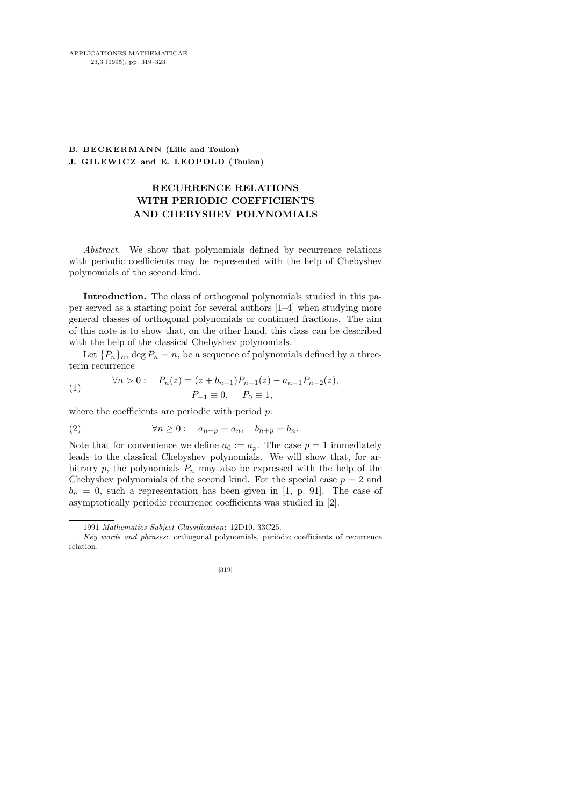## **B. BECKERMANN (Lille and Toulon) J. GILEWICZ and E. LEOPOLD (Toulon)**

## RECURRENCE RELATIONS WITH PERIODIC COEFFICIENTS AND CHEBYSHEV POLYNOMIALS

Abstract. We show that polynomials defined by recurrence relations with periodic coefficients may be represented with the help of Chebyshev polynomials of the second kind.

Introduction. The class of orthogonal polynomials studied in this paper served as a starting point for several authors [1–4] when studying more general classes of orthogonal polynomials or continued fractions. The aim of this note is to show that, on the other hand, this class can be described with the help of the classical Chebyshev polynomials.

Let  $\{P_n\}_n$ , deg  $P_n = n$ , be a sequence of polynomials defined by a threeterm recurrence

(1) 
$$
\forall n > 0: \quad P_n(z) = (z + b_{n-1})P_{n-1}(z) - a_{n-1}P_{n-2}(z),
$$

$$
P_{-1} \equiv 0, \quad P_0 \equiv 1,
$$

where the coefficients are periodic with period  $p$ :

(2) 
$$
\forall n \geq 0: a_{n+p} = a_n, b_{n+p} = b_n.
$$

Note that for convenience we define  $a_0 := a_p$ . The case  $p = 1$  immediately leads to the classical Chebyshev polynomials. We will show that, for arbitrary p, the polynomials  $P_n$  may also be expressed with the help of the Chebyshev polynomials of the second kind. For the special case  $p = 2$  and  $b_n = 0$ , such a representation has been given in [1, p. 91]. The case of asymptotically periodic recurrence coefficients was studied in [2].

<sup>1991</sup> *Mathematics Subject Classification*: 12D10, 33C25.

*Key words and phrases*: orthogonal polynomials, periodic coefficients of recurrence relation.

<sup>[319]</sup>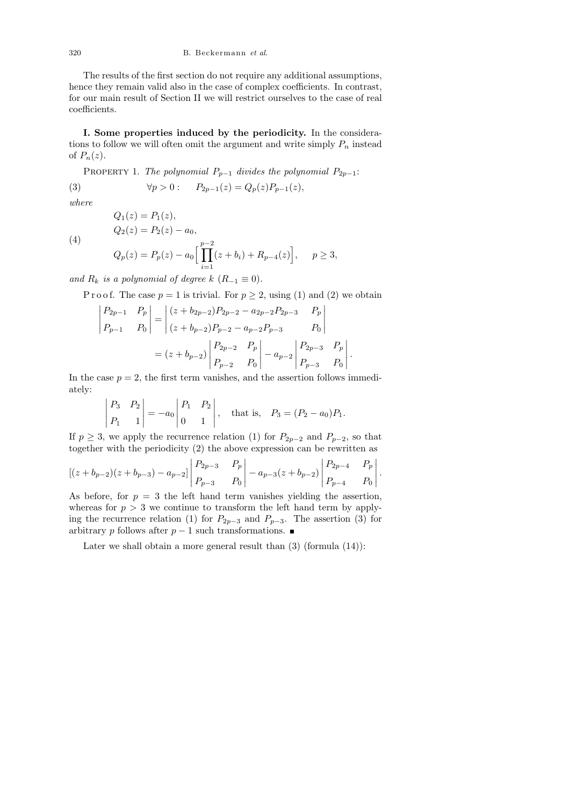The results of the first section do not require any additional assumptions, hence they remain valid also in the case of complex coefficients. In contrast, for our main result of Section II we will restrict ourselves to the case of real coefficients.

I. Some properties induced by the periodicity. In the considerations to follow we will often omit the argument and write simply  $P_n$  instead of  $P_n(z)$ .

PROPERTY 1. The polynomial  $P_{p-1}$  divides the polynomial  $P_{2p-1}$ : (3)  $\forall p > 0 : P_{2p-1}(z) = Q_p(z)P_{p-1}(z),$ 

where

(4)

$$
Q_2(z) = P_2(z) - a_0,
$$
  
\n
$$
Q_p(z) = P_p(z) - a_0 \Big[ \prod_{i=1}^{p-2} (z + b_i) + R_{p-4}(z) \Big], \quad p \ge 3,
$$

and  $R_k$  is a polynomial of degree k  $(R_{-1} \equiv 0)$ .

 $Q_1(z) = P_1(z),$ 

P r o o f. The case  $p = 1$  is trivial. For  $p \ge 2$ , using (1) and (2) we obtain

$$
\begin{vmatrix} P_{2p-1} & P_p \ P_{p-1} & P_0 \end{vmatrix} = \begin{vmatrix} (z + b_{2p-2})P_{2p-2} - a_{2p-2}P_{2p-3} & P_p \ (z + b_{p-2})P_{p-2} - a_{p-2}P_{p-3} & P_0 \end{vmatrix}
$$

$$
= (z + b_{p-2}) \begin{vmatrix} P_{2p-2} & P_p \ P_{p-2} & P_0 \end{vmatrix} - a_{p-2} \begin{vmatrix} P_{2p-3} & P_p \ P_{p-3} & P_0 \end{vmatrix}
$$

In the case  $p = 2$ , the first term vanishes, and the assertion follows immediately:

.

$$
\begin{vmatrix} P_3 & P_2 \ P_1 & 1 \end{vmatrix} = -a_0 \begin{vmatrix} P_1 & P_2 \ 0 & 1 \end{vmatrix}, \text{ that is, } P_3 = (P_2 - a_0)P_1.
$$

If  $p \geq 3$ , we apply the recurrence relation (1) for  $P_{2p-2}$  and  $P_{p-2}$ , so that together with the periodicity (2) the above expression can be rewritten as

$$
\left[ (z+b_{p-2})(z+b_{p-3}) - a_{p-2} \right] \begin{vmatrix} P_{2p-3} & P_p \ P_{p-3} & P_0 \end{vmatrix} - a_{p-3}(z+b_{p-2}) \begin{vmatrix} P_{2p-4} & P_p \ P_{p-4} & P_0 \end{vmatrix}.
$$

As before, for  $p = 3$  the left hand term vanishes yielding the assertion, whereas for  $p > 3$  we continue to transform the left hand term by applying the recurrence relation (1) for  $P_{2p-3}$  and  $P_{p-3}$ . The assertion (3) for arbitrary p follows after  $p-1$  such transformations.  $\blacksquare$ 

Later we shall obtain a more general result than  $(3)$  (formula  $(14)$ ):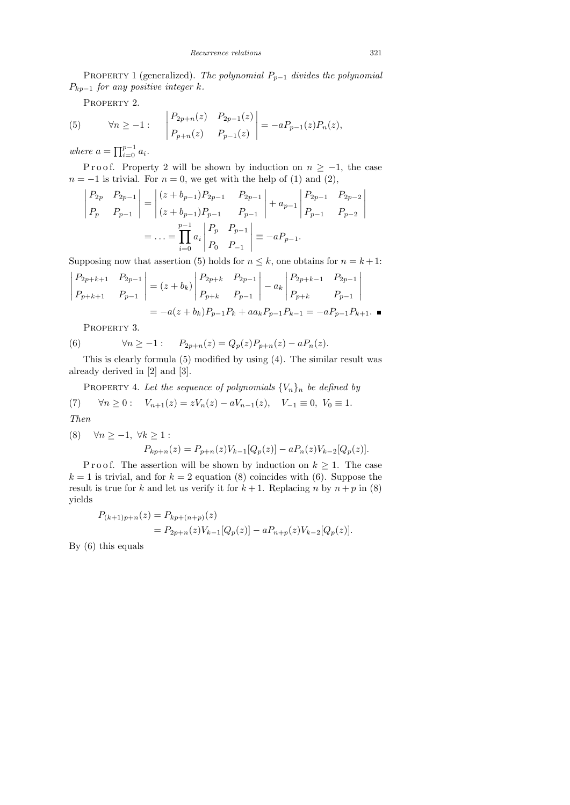PROPERTY 1 (generalized). The polynomial  $P_{p-1}$  divides the polynomial  $P_{kp-1}$  for any positive integer k.

PROPERTY 2.

(5) 
$$
\forall n \ge -1: \left| \begin{matrix} P_{2p+n}(z) & P_{2p-1}(z) \\ P_{p+n}(z) & P_{p-1}(z) \end{matrix} \right| = -aP_{p-1}(z)P_n(z),
$$

where  $a = \prod_{i=0}^{p-1} a_i$ .

P r o o f. Property 2 will be shown by induction on  $n \ge -1$ , the case  $n = -1$  is trivial. For  $n = 0$ , we get with the help of (1) and (2),

$$
\begin{vmatrix} P_{2p} & P_{2p-1} \ P_p & P_{p-1} \ \end{vmatrix} = \begin{vmatrix} (z+b_{p-1})P_{2p-1} & P_{2p-1} \ (z+b_{p-1})P_{p-1} & P_{p-1} \ \end{vmatrix} + a_{p-1} \begin{vmatrix} P_{2p-1} & P_{2p-2} \ P_{p-1} & P_{p-2} \ \end{vmatrix}
$$
  
= ... =  $\prod_{i=0}^{p-1} a_i \begin{vmatrix} P_p & P_{p-1} \ P_0 & P_{-1} \ \end{vmatrix} \equiv -aP_{p-1}.$ 

Supposing now that assertion (5) holds for  $n \leq k$ , one obtains for  $n = k + 1$ :

$$
\begin{vmatrix} P_{2p+k+1} & P_{2p-1} \ P_{p+k+1} & P_{p-1} \ \end{vmatrix} = (z+b_k) \begin{vmatrix} P_{2p+k} & P_{2p-1} \ P_{p+k} & P_{p-1} \ \end{vmatrix} - a_k \begin{vmatrix} P_{2p+k-1} & P_{2p-1} \ P_{p+k} & P_{p-1} \ \end{vmatrix}
$$
  
=  $-a(z+b_k)P_{p-1}P_k + aa_k P_{p-1}P_{k-1} = -aP_{p-1}P_{k+1}$ .

PROPERTY 3.

(6) 
$$
\forall n \ge -1:
$$
  $P_{2p+n}(z) = Q_p(z)P_{p+n}(z) - aP_n(z).$ 

This is clearly formula (5) modified by using (4). The similar result was already derived in [2] and [3].

PROPERTY 4. Let the sequence of polynomials  $\{V_n\}_n$  be defined by

(7) 
$$
\forall n \ge 0
$$
:  $V_{n+1}(z) = zV_n(z) - aV_{n-1}(z)$ ,  $V_{-1} \equiv 0$ ,  $V_0 \equiv 1$ .  
Then

(8) 
$$
\forall n \ge -1, \forall k \ge 1:
$$
  
\n
$$
P_{kp+n}(z) = P_{p+n}(z)V_{k-1}[Q_p(z)] - aP_n(z)V_{k-2}[Q_p(z)].
$$

P r o o f. The assertion will be shown by induction on  $k \geq 1$ . The case  $k = 1$  is trivial, and for  $k = 2$  equation (8) coincides with (6). Suppose the result is true for k and let us verify it for  $k + 1$ . Replacing n by  $n + p$  in (8) yields

$$
P_{(k+1)p+n}(z) = P_{kp+(n+p)}(z)
$$
  
=  $P_{2p+n}(z)V_{k-1}[Q_p(z)] - aP_{n+p}(z)V_{k-2}[Q_p(z)].$ 

By (6) this equals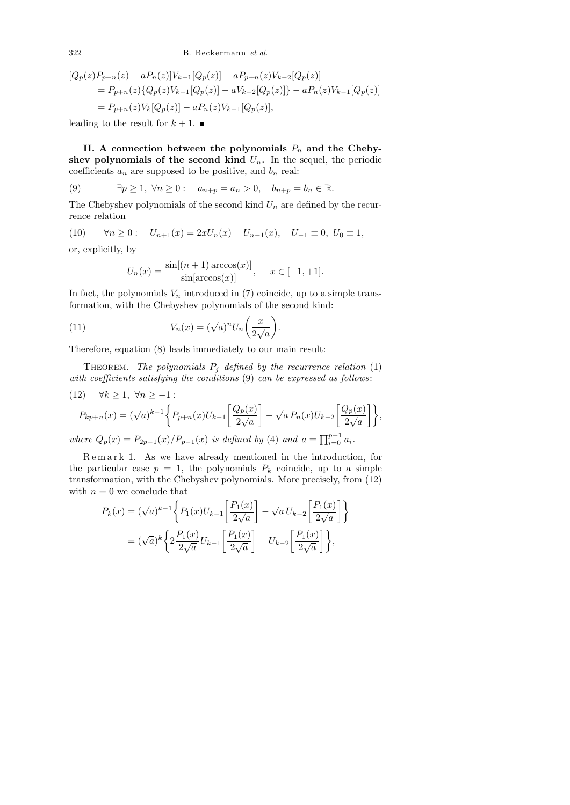322 B. Beckermann *et al.*

$$
[Q_p(z)P_{p+n}(z) - aP_n(z)]V_{k-1}[Q_p(z)] - aP_{p+n}(z)V_{k-2}[Q_p(z)]
$$
  
=  $P_{p+n}(z)\{Q_p(z)V_{k-1}[Q_p(z)] - aV_{k-2}[Q_p(z)]\} - aP_n(z)V_{k-1}[Q_p(z)]$   
=  $P_{p+n}(z)V_k[Q_p(z)] - aP_n(z)V_{k-1}[Q_p(z)],$ 

leading to the result for  $k + 1$ .

II. A connection between the polynomials  $P_n$  and the Chebyshev polynomials of the second kind  $U_n$ . In the sequel, the periodic coefficients  $a_n$  are supposed to be positive, and  $b_n$  real:

(9) 
$$
\exists p \ge 1, \forall n \ge 0:
$$
  $a_{n+p} = a_n > 0, \quad b_{n+p} = b_n \in \mathbb{R}.$ 

The Chebyshev polynomials of the second kind  $U_n$  are defined by the recurrence relation

(10) 
$$
\forall n \ge 0:
$$
  $U_{n+1}(x) = 2xU_n(x) - U_{n-1}(x), U_{-1} \equiv 0, U_0 \equiv 1,$ 

or, explicitly, by

$$
U_n(x) = \frac{\sin[(n+1)\arccos(x)]}{\sin[\arccos(x)]}, \quad x \in [-1, +1].
$$

In fact, the polynomials  $V_n$  introduced in (7) coincide, up to a simple transformation, with the Chebyshev polynomials of the second kind:

(11) 
$$
V_n(x) = (\sqrt{a})^n U_n\left(\frac{x}{2\sqrt{a}}\right).
$$

Therefore, equation (8) leads immediately to our main result:

THEOREM. The polynomials  $P_j$  defined by the recurrence relation (1) with coefficients satisfying the conditions (9) can be expressed as follows:

 $\left\lceil \frac{Q_p(x)}{2\sqrt{a}} \right\rceil \bigg\},\$ 

(12) 
$$
\forall k \ge 1, \ \forall n \ge -1 :
$$
  
\n
$$
P_{kp+n}(x) = (\sqrt{a})^{k-1} \left\{ P_{p+n}(x) U_{k-1} \left[ \frac{Q_p(x)}{2\sqrt{a}} \right] - \sqrt{a} P_n(x) U_{k-2} \left[ \frac{Q_p(x)}{2} \right] \right\}
$$

where  $Q_p(x) = P_{2p-1}(x)/P_{p-1}(x)$  is defined by (4) and  $a = \prod_{i=0}^{p-1} a_i$ .

Remark 1. As we have already mentioned in the introduction, for the particular case  $p = 1$ , the polynomials  $P_k$  coincide, up to a simple transformation, with the Chebyshev polynomials. More precisely, from (12) with  $n = 0$  we conclude that

$$
P_k(x) = (\sqrt{a})^{k-1} \left\{ P_1(x) U_{k-1} \left[ \frac{P_1(x)}{2\sqrt{a}} \right] - \sqrt{a} U_{k-2} \left[ \frac{P_1(x)}{2\sqrt{a}} \right] \right\}
$$
  
=  $(\sqrt{a})^k \left\{ 2 \frac{P_1(x)}{2\sqrt{a}} U_{k-1} \left[ \frac{P_1(x)}{2\sqrt{a}} \right] - U_{k-2} \left[ \frac{P_1(x)}{2\sqrt{a}} \right] \right\},$